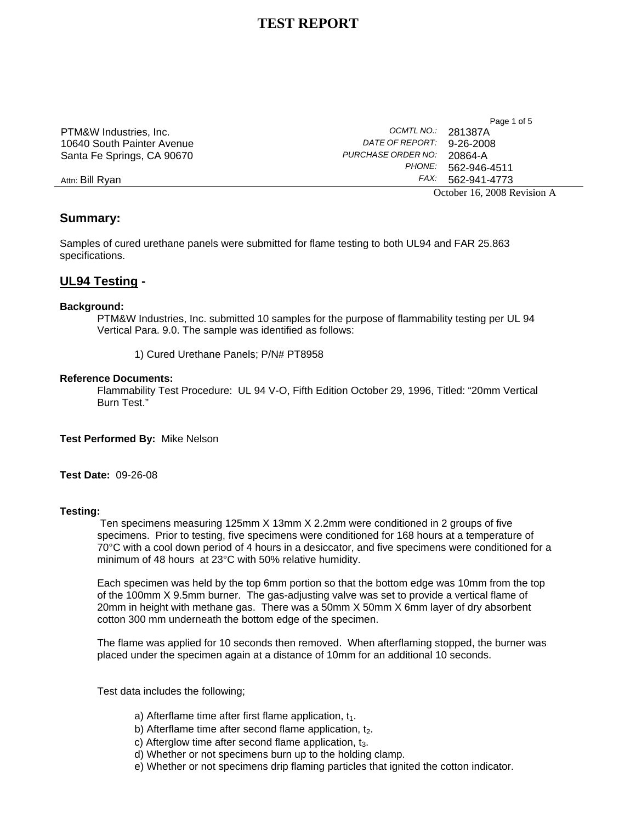|                            |                        | October 16, 2008 Revision A |
|----------------------------|------------------------|-----------------------------|
| Attn: Bill Rvan            | FAX:                   | 562-941-4773                |
|                            | PHONE:                 | 562-946-4511                |
| Santa Fe Springs, CA 90670 | PURCHASE ORDER NO:     | 20864-A                     |
| 10640 South Painter Avenue | <i>DATE OF REPORT:</i> | 9-26-2008                   |
| PTM&W Industries, Inc.     | OCMTLNO.: 281387A      |                             |
|                            |                        | Page I OI 5                 |

Page 1 of 5

# **Summary:**

Samples of cured urethane panels were submitted for flame testing to both UL94 and FAR 25.863 specifications.

# **UL94 Testing -**

### **Background:**

PTM&W Industries, Inc. submitted 10 samples for the purpose of flammability testing per UL 94 Vertical Para. 9.0. The sample was identified as follows:

1) Cured Urethane Panels; P/N# PT8958

### **Reference Documents:**

 Flammability Test Procedure: UL 94 V-O, Fifth Edition October 29, 1996, Titled: "20mm Vertical Burn Test."

**Test Performed By:** Mike Nelson

**Test Date:** 09-26-08

## **Testing:**

Ten specimens measuring 125mm X 13mm X 2.2mm were conditioned in 2 groups of five specimens. Prior to testing, five specimens were conditioned for 168 hours at a temperature of 70°C with a cool down period of 4 hours in a desiccator, and five specimens were conditioned for a minimum of 48 hours at 23°C with 50% relative humidity.

Each specimen was held by the top 6mm portion so that the bottom edge was 10mm from the top of the 100mm X 9.5mm burner. The gas-adjusting valve was set to provide a vertical flame of 20mm in height with methane gas. There was a 50mm X 50mm X 6mm layer of dry absorbent cotton 300 mm underneath the bottom edge of the specimen.

The flame was applied for 10 seconds then removed. When afterflaming stopped, the burner was placed under the specimen again at a distance of 10mm for an additional 10 seconds.

Test data includes the following;

- a) Afterflame time after first flame application,  $t_1$ .
- b) Afterflame time after second flame application,  $t<sub>2</sub>$ .
- c) Afterglow time after second flame application,  $t_3$ .
- d) Whether or not specimens burn up to the holding clamp.
- e) Whether or not specimens drip flaming particles that ignited the cotton indicator.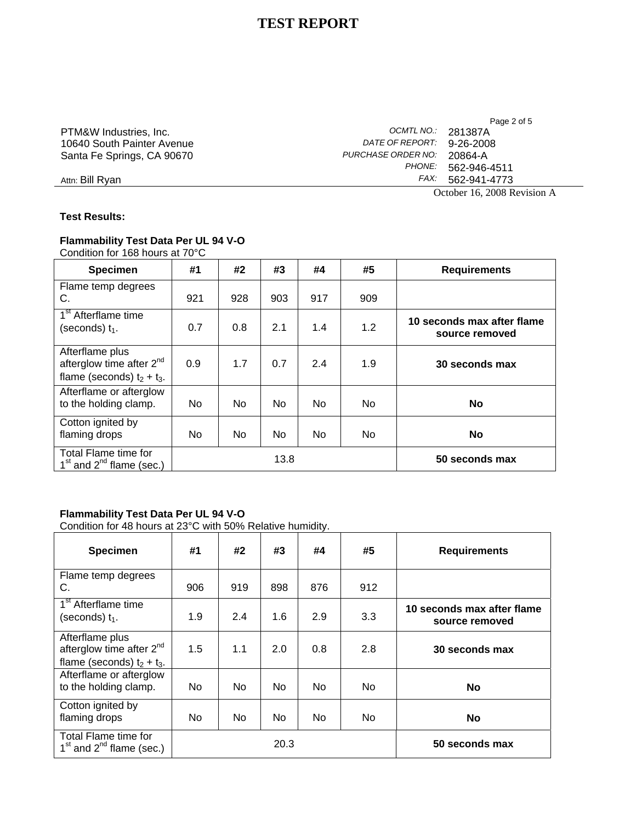Page 2 of 5 PTM&W Industries, Inc.<br>10640 South Painter Avenue *DATE OF REPORT:* 9-26-2008 10640 South Painter Avenue *DATE OF REPORT:* 9-26-2008 Santa Fe Springs, CA 90670 *PURCHASE ORDER NO:* 20864-A *PHONE:* 562-946-4511 Attn: Bill Ryan *FAX:* 562-941-4773

October 16, 2008 Revision A

**Test Results:** 

## **Flammability Test Data Per UL 94 V-O**  Condition for 168 hours at 70°C

**Specimen #1 #2 #3 #4 #5 Requirements**  Flame temp degrees C. 921 928 903 917 909 1<sup>st</sup> Afterflame time (seconds)  $t_1$ .  $t_2$  are the conds of the condstant of the condstant of the condstant of the condstant of the condstant of the contract of the contract of the contract of the contract of the contract of the contract of **source removed**  Afterflame plus afterglow time after 2<sup>nd</sup> flame (seconds)  $t_2 + t_3$ . 0.9 1.7 0.7 2.4 1.9 **30 seconds max**  Afterflame or afterglow to the holding clamp. | No | No | No | No | No | No | No Cotton ignited by flaming drops  $\begin{vmatrix} \n\end{vmatrix}$  No  $\begin{vmatrix} \n\end{vmatrix}$  No  $\begin{vmatrix} \n\end{vmatrix}$  No  $\begin{vmatrix} \n\end{vmatrix}$  No  $\begin{vmatrix} \n\end{vmatrix}$  No  $\begin{vmatrix} \n\end{vmatrix}$ Total Flame time for  $1<sup>st</sup>$  and  $2<sup>nd</sup>$  flame (sec.)  $1<sup>st</sup>$  and  $2<sup>nd</sup>$  flame (sec.)

## **Flammability Test Data Per UL 94 V-O**

Condition for 48 hours at 23°C with 50% Relative humidity.

| <b>Specimen</b>                                                                   | #1  | #2  | #3             | #4  | #5  | <b>Requirements</b>                          |
|-----------------------------------------------------------------------------------|-----|-----|----------------|-----|-----|----------------------------------------------|
| Flame temp degrees<br>C.                                                          | 906 | 919 | 898            | 876 | 912 |                                              |
| 1 <sup>st</sup> Afterflame time<br>(seconds) $t_1$ .                              | 1.9 | 2.4 | 1.6            | 2.9 | 3.3 | 10 seconds max after flame<br>source removed |
| Afterflame plus<br>afterglow time after $2^{nd}$<br>flame (seconds) $t_2 + t_3$ . | 1.5 | 1.1 | 2.0            | 0.8 | 2.8 | 30 seconds max                               |
| Afterflame or afterglow<br>to the holding clamp.                                  | No. | No. | N <sub>o</sub> | No. | No. | <b>No</b>                                    |
| Cotton ignited by<br>flaming drops                                                | No. | No  | No             | No. | No. | <b>No</b>                                    |
| Total Flame time for<br>$1st$ and $2nd$ flame (sec.)                              |     |     | 20.3           |     |     | 50 seconds max                               |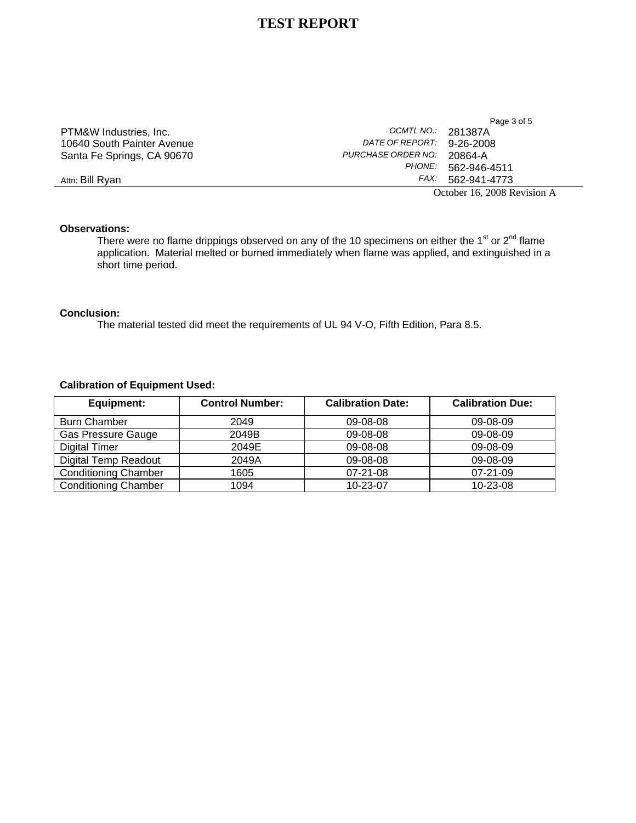|                            |                    | Page 3 of 5                 |
|----------------------------|--------------------|-----------------------------|
| PTM&W Industries, Inc.     | OCMTL NO.:         | 281387A                     |
| 10640 South Painter Avenue | DATE OF REPORT:    | 9-26-2008                   |
| Santa Fe Springs, CA 90670 | PURCHASE ORDER NO: | 20864-A                     |
|                            | <i>PHONE:</i>      | 562-946-4511                |
| Attn: Bill Rvan            | FAX:               | 562-941-4773                |
|                            |                    | October 16, 2008 Revision A |

## **Observations:**

There were no flame drippings observed on any of the 10 specimens on either the 1<sup>st</sup> or 2<sup>nd</sup> flame application. Material melted or burned immediately when flame was applied, and extinguished in a short time period.

### **Conclusion:**

The material tested did meet the requirements of UL 94 V-O, Fifth Edition, Para 8.5.

## **Calibration of Equipment Used:**

| Equipment:                  | <b>Control Number:</b> | <b>Calibration Date:</b> | <b>Calibration Due:</b> |
|-----------------------------|------------------------|--------------------------|-------------------------|
| <b>Burn Chamber</b>         | 2049                   | 09-08-08                 | 09-08-09                |
| <b>Gas Pressure Gauge</b>   | 2049B                  | 09-08-08                 | 09-08-09                |
| Digital Timer               | 2049E                  | 09-08-08                 | 09-08-09                |
| <b>Digital Temp Readout</b> | 2049A                  | 09-08-08                 | 09-08-09                |
| <b>Conditioning Chamber</b> | 1605                   | $07 - 21 - 08$           | $07-21-09$              |
| <b>Conditioning Chamber</b> | 1094                   | $10 - 23 - 07$           | 10-23-08                |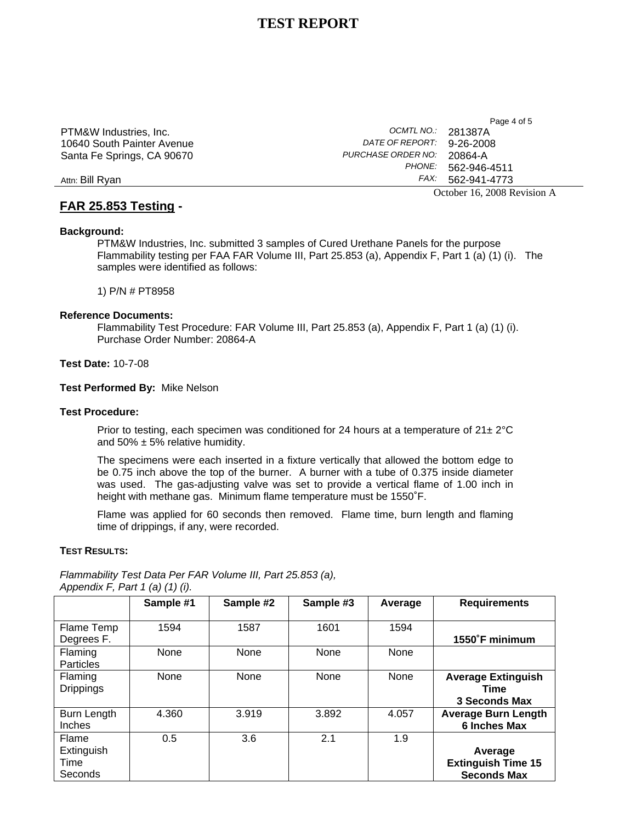|                            |                           | October 16, 2008 Revision |
|----------------------------|---------------------------|---------------------------|
| Attn: Bill Rvan            |                           | FAX: 562-941-4773         |
|                            |                           | PHONE: 562-946-4511       |
| Santa Fe Springs, CA 90670 | PURCHASE ORDER NO:        | 20864-A                   |
| 10640 South Painter Avenue | DATE OF REPORT: 9-26-2008 |                           |
| PTM&W Industries, Inc.     | OCMTLNO.: 281387A         |                           |
|                            |                           | Page 4 OF 3               |

# **FAR 25.853 Testing -**

### October 16, 2008 Revision A

 $P_{0}$ ge  $4$  of  $5$ 

### **Background:**

PTM&W Industries, Inc. submitted 3 samples of Cured Urethane Panels for the purpose Flammability testing per FAA FAR Volume III, Part 25.853 (a), Appendix F, Part 1 (a) (1) (i). The samples were identified as follows:

1) P/N # PT8958

#### **Reference Documents:**

Flammability Test Procedure: FAR Volume III, Part 25.853 (a), Appendix F, Part 1 (a) (1) (i). Purchase Order Number: 20864-A

## **Test Date:** 10-7-08

**Test Performed By:** Mike Nelson

#### **Test Procedure:**

Prior to testing, each specimen was conditioned for 24 hours at a temperature of  $21 \pm 2^{\circ}C$ and  $50\% \pm 5\%$  relative humidity.

The specimens were each inserted in a fixture vertically that allowed the bottom edge to be 0.75 inch above the top of the burner. A burner with a tube of 0.375 inside diameter was used. The gas-adjusting valve was set to provide a vertical flame of 1.00 inch in height with methane gas. Minimum flame temperature must be 1550˚F.

Flame was applied for 60 seconds then removed. Flame time, burn length and flaming time of drippings, if any, were recorded.

### **TEST RESULTS:**

*Flammability Test Data Per FAR Volume III, Part 25.853 (a),* 

|                                        | Sample #1 | Sample #2 | Sample #3 | Average | <b>Requirements</b>                                        |
|----------------------------------------|-----------|-----------|-----------|---------|------------------------------------------------------------|
| Flame Temp<br>Degrees F.               | 1594      | 1587      | 1601      | 1594    | 1550°F minimum                                             |
| Flaming<br><b>Particles</b>            | None      | None      | None      | None    |                                                            |
| Flaming<br><b>Drippings</b>            | None      | None      | None      | None    | <b>Average Extinguish</b><br>Time<br>3 Seconds Max         |
| Burn Length<br>Inches                  | 4.360     | 3.919     | 3.892     | 4.057   | <b>Average Burn Length</b><br>6 Inches Max                 |
| Flame<br>Extinguish<br>Time<br>Seconds | 0.5       | 3.6       | 2.1       | 1.9     | Average<br><b>Extinguish Time 15</b><br><b>Seconds Max</b> |

*Appendix F, Part 1 (a) (1) (i).*